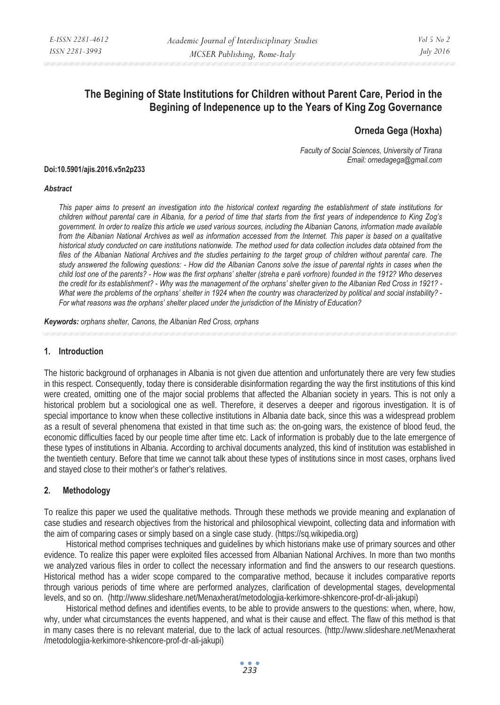# **The Begining of State Institutions for Children without Parent Care, Period in the Begining of Indepenence up to the Years of King Zog Governance**

## **Orneda Gega (Hoxha)**

*Faculty of Social Sciences, University of Tirana Email: ornedagega@gmail.com* 

#### **Doi:10.5901/ajis.2016.v5n2p233**

#### *Abstract*

*This paper aims to present an investigation into the historical context regarding the establishment of state institutions for children without parental care in Albania, for a period of time that starts from the first years of independence to King Zog's government. In order to realize this article we used various sources, including the Albanian Canons, information made available from the Albanian National Archives as well as information accessed from the Internet. This paper is based on a qualitative historical study conducted on care institutions nationwide. The method used for data collection includes data obtained from the files of the Albanian National Archives and the studies pertaining to the target group of children without parental care. The study answered the following questions: - How did the Albanian Canons solve the issue of parental rights in cases when the child lost one of the parents? - How was the first orphans' shelter (streha e parë vorfnore) founded in the 1912? Who deserves the credit for its establishment? - Why was the management of the orphans' shelter given to the Albanian Red Cross in 1921? - What were the problems of the orphans' shelter in 1924 when the country was characterized by political and social instability? - For what reasons was the orphans' shelter placed under the jurisdiction of the Ministry of Education?* 

*Keywords: orphans shelter, Canons, the Albanian Red Cross, orphans* 

### **1. Introduction**

The historic background of orphanages in Albania is not given due attention and unfortunately there are very few studies in this respect. Consequently, today there is considerable disinformation regarding the way the first institutions of this kind were created, omitting one of the major social problems that affected the Albanian society in years. This is not only a historical problem but a sociological one as well. Therefore, it deserves a deeper and rigorous investigation. It is of special importance to know when these collective institutions in Albania date back, since this was a widespread problem as a result of several phenomena that existed in that time such as: the on-going wars, the existence of blood feud, the economic difficulties faced by our people time after time etc. Lack of information is probably due to the late emergence of these types of institutions in Albania. According to archival documents analyzed, this kind of institution was established in the twentieth century. Before that time we cannot talk about these types of institutions since in most cases, orphans lived and stayed close to their mother's or father's relatives.

### **2. Methodology**

To realize this paper we used the qualitative methods. Through these methods we provide meaning and explanation of case studies and research objectives from the historical and philosophical viewpoint, collecting data and information with the aim of comparing cases or simply based on a single case study. (https://sq.wikipedia.org)

Historical method comprises techniques and guidelines by which historians make use of primary sources and other evidence. To realize this paper were exploited files accessed from Albanian National Archives. In more than two months we analyzed various files in order to collect the necessary information and find the answers to our research questions. Historical method has a wider scope compared to the comparative method, because it includes comparative reports through various periods of time where are performed analyzes, clarification of developmental stages, developmental levels, and so on. (http://www.slideshare.net/Menaxherat/metodologjia-kerkimore-shkencore-prof-dr-ali-jakupi)

Historical method defines and identifies events, to be able to provide answers to the questions: when, where, how, why, under what circumstances the events happened, and what is their cause and effect. The flaw of this method is that in many cases there is no relevant material, due to the lack of actual resources. (http://www.slideshare.net/Menaxherat /metodologjia-kerkimore-shkencore-prof-dr-ali-jakupi)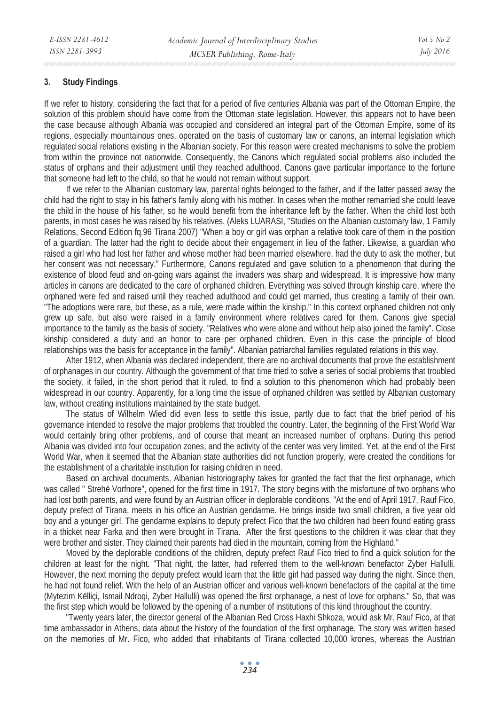### **3. Study Findings**

If we refer to history, considering the fact that for a period of five centuries Albania was part of the Ottoman Empire, the solution of this problem should have come from the Ottoman state legislation. However, this appears not to have been the case because although Albania was occupied and considered an integral part of the Ottoman Empire, some of its regions, especially mountainous ones, operated on the basis of customary law or canons, an internal legislation which regulated social relations existing in the Albanian society. For this reason were created mechanisms to solve the problem from within the province not nationwide. Consequently, the Canons which regulated social problems also included the status of orphans and their adjustment until they reached adulthood. Canons gave particular importance to the fortune that someone had left to the child, so that he would not remain without support.

If we refer to the Albanian customary law, parental rights belonged to the father, and if the latter passed away the child had the right to stay in his father's family along with his mother. In cases when the mother remarried she could leave the child in the house of his father, so he would benefit from the inheritance left by the father. When the child lost both parents, in most cases he was raised by his relatives. (Aleks LUARASI, "Studies on the Albanian customary law, 1 Family Relations, Second Edition fq.96 Tirana 2007) "When a boy or girl was orphan a relative took care of them in the position of a guardian. The latter had the right to decide about their engagement in lieu of the father. Likewise, a guardian who raised a girl who had lost her father and whose mother had been married elsewhere, had the duty to ask the mother, but her consent was not necessary." Furthermore, Canons regulated and gave solution to a phenomenon that during the existence of blood feud and on-going wars against the invaders was sharp and widespread. It is impressive how many articles in canons are dedicated to the care of orphaned children. Everything was solved through kinship care, where the orphaned were fed and raised until they reached adulthood and could get married, thus creating a family of their own. "The adoptions were rare, but these, as a rule, were made within the kinship." In this context orphaned children not only grew up safe, but also were raised in a family environment where relatives cared for them. Canons give special importance to the family as the basis of society. "Relatives who were alone and without help also joined the family". Close kinship considered a duty and an honor to care per orphaned children. Even in this case the principle of blood relationships was the basis for acceptance in the family". Albanian patriarchal families regulated relations in this way.

After 1912, when Albania was declared independent, there are no archival documents that prove the establishment of orphanages in our country. Although the government of that time tried to solve a series of social problems that troubled the society, it failed, in the short period that it ruled, to find a solution to this phenomenon which had probably been widespread in our country. Apparently, for a long time the issue of orphaned children was settled by Albanian customary law, without creating institutions maintained by the state budget.

The status of Wilhelm Wied did even less to settle this issue, partly due to fact that the brief period of his governance intended to resolve the major problems that troubled the country. Later, the beginning of the First World War would certainly bring other problems, and of course that meant an increased number of orphans. During this period Albania was divided into four occupation zones, and the activity of the center was very limited. Yet, at the end of the First World War, when it seemed that the Albanian state authorities did not function properly, were created the conditions for the establishment of a charitable institution for raising children in need.

Based on archival documents, Albanian historiography takes for granted the fact that the first orphanage, which was called " Strehë Vorfnore", opened for the first time in 1917. The story begins with the misfortune of two orphans who had lost both parents, and were found by an Austrian officer in deplorable conditions. "At the end of April 1917, Rauf Fico, deputy prefect of Tirana, meets in his office an Austrian gendarme. He brings inside two small children, a five year old boy and a younger girl. The gendarme explains to deputy prefect Fico that the two children had been found eating grass in a thicket near Farka and then were brought in Tirana. After the first questions to the children it was clear that they were brother and sister. They claimed their parents had died in the mountain, coming from the Highland."

Moved by the deplorable conditions of the children, deputy prefect Rauf Fico tried to find a quick solution for the children at least for the night. "That night, the latter, had referred them to the well-known benefactor Zyber Hallulli. However, the next morning the deputy prefect would learn that the little girl had passed way during the night. Since then, he had not found relief. With the help of an Austrian officer and various well-known benefactors of the capital at the time (Mytezim Këlliçi, Ismail Ndroqi, Zyber Hallulli) was opened the first orphanage, a nest of love for orphans." So, that was the first step which would be followed by the opening of a number of institutions of this kind throughout the country.

"Twenty years later, the director general of the Albanian Red Cross Haxhi Shkoza, would ask Mr. Rauf Fico, at that time ambassador in Athens, data about the history of the foundation of the first orphanage. The story was written based on the memories of Mr. Fico, who added that inhabitants of Tirana collected 10,000 krones, whereas the Austrian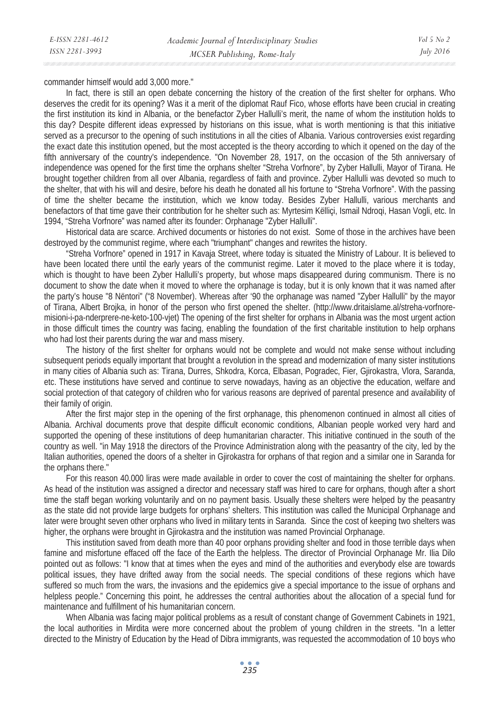commander himself would add 3,000 more."

In fact, there is still an open debate concerning the history of the creation of the first shelter for orphans. Who deserves the credit for its opening? Was it a merit of the diplomat Rauf Fico, whose efforts have been crucial in creating the first institution its kind in Albania, or the benefactor Zyber Hallulli's merit, the name of whom the institution holds to this day? Despite different ideas expressed by historians on this issue, what is worth mentioning is that this initiative served as a precursor to the opening of such institutions in all the cities of Albania. Various controversies exist regarding the exact date this institution opened, but the most accepted is the theory according to which it opened on the day of the fifth anniversary of the country's independence. "On November 28, 1917, on the occasion of the 5th anniversary of independence was opened for the first time the orphans shelter "Streha Vorfnore", by Zyber Hallulli, Mayor of Tirana. He brought together children from all over Albania, regardless of faith and province. Zyber Hallulli was devoted so much to the shelter, that with his will and desire, before his death he donated all his fortune to "Streha Vorfnore". With the passing of time the shelter became the institution, which we know today. Besides Zyber Hallulli, various merchants and benefactors of that time gave their contribution for he shelter such as: Myrtesim Këlliçi, Ismail Ndroqi, Hasan Vogli, etc. In 1994, "Streha Vorfnore" was named after its founder: Orphanage "Zyber Hallulli".

Historical data are scarce. Archived documents or histories do not exist. Some of those in the archives have been destroyed by the communist regime, where each "triumphant" changes and rewrites the history.

"Streha Vorfnore" opened in 1917 in Kavaja Street, where today is situated the Ministry of Labour. It is believed to have been located there until the early years of the communist regime. Later it moved to the place where it is today, which is thought to have been Zyber Hallulli's property, but whose maps disappeared during communism. There is no document to show the date when it moved to where the orphanage is today, but it is only known that it was named after the party's house "8 Nëntori" ("8 November). Whereas after '90 the orphanage was named "Zyber Hallulli" by the mayor of Tirana, Albert Brojka, in honor of the person who first opened the shelter. (http://www.dritaislame.al/streha-vorfnoremisioni-i-pa-nderprere-ne-keto-100-vjet) The opening of the first shelter for orphans in Albania was the most urgent action in those difficult times the country was facing, enabling the foundation of the first charitable institution to help orphans who had lost their parents during the war and mass misery.

The history of the first shelter for orphans would not be complete and would not make sense without including subsequent periods equally important that brought a revolution in the spread and modernization of many sister institutions in many cities of Albania such as: Tirana, Durres, Shkodra, Korca, Elbasan, Pogradec, Fier, Gjirokastra, Vlora, Saranda, etc. These institutions have served and continue to serve nowadays, having as an objective the education, welfare and social protection of that category of children who for various reasons are deprived of parental presence and availability of their family of origin.

After the first major step in the opening of the first orphanage, this phenomenon continued in almost all cities of Albania. Archival documents prove that despite difficult economic conditions, Albanian people worked very hard and supported the opening of these institutions of deep humanitarian character. This initiative continued in the south of the country as well. "in May 1918 the directors of the Province Administration along with the peasantry of the city, led by the Italian authorities, opened the doors of a shelter in Gjirokastra for orphans of that region and a similar one in Saranda for the orphans there."

For this reason 40.000 liras were made available in order to cover the cost of maintaining the shelter for orphans. As head of the institution was assigned a director and necessary staff was hired to care for orphans, though after a short time the staff began working voluntarily and on no payment basis. Usually these shelters were helped by the peasantry as the state did not provide large budgets for orphans' shelters. This institution was called the Municipal Orphanage and later were brought seven other orphans who lived in military tents in Saranda. Since the cost of keeping two shelters was higher, the orphans were brought in Gjirokastra and the institution was named Provincial Orphanage.

This institution saved from death more than 40 poor orphans providing shelter and food in those terrible days when famine and misfortune effaced off the face of the Earth the helpless. The director of Provincial Orphanage Mr. Ilia Dilo pointed out as follows: "I know that at times when the eyes and mind of the authorities and everybody else are towards political issues, they have drifted away from the social needs. The special conditions of these regions which have suffered so much from the wars, the invasions and the epidemics give a special importance to the issue of orphans and helpless people." Concerning this point, he addresses the central authorities about the allocation of a special fund for maintenance and fulfillment of his humanitarian concern.

When Albania was facing major political problems as a result of constant change of Government Cabinets in 1921, the local authorities in Mirdita were more concerned about the problem of young children in the streets. "In a letter directed to the Ministry of Education by the Head of Dibra immigrants, was requested the accommodation of 10 boys who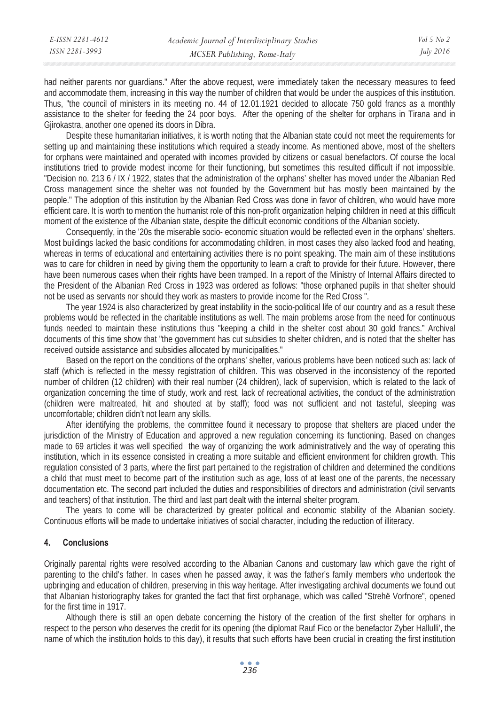had neither parents nor guardians." After the above request, were immediately taken the necessary measures to feed and accommodate them, increasing in this way the number of children that would be under the auspices of this institution. Thus, "the council of ministers in its meeting no. 44 of 12.01.1921 decided to allocate 750 gold francs as a monthly assistance to the shelter for feeding the 24 poor boys. After the opening of the shelter for orphans in Tirana and in Gjirokastra, another one opened its doors in Dibra.

Despite these humanitarian initiatives, it is worth noting that the Albanian state could not meet the requirements for setting up and maintaining these institutions which required a steady income. As mentioned above, most of the shelters for orphans were maintained and operated with incomes provided by citizens or casual benefactors. Of course the local institutions tried to provide modest income for their functioning, but sometimes this resulted difficult if not impossible. "Decision no. 213 6 / IX / 1922, states that the administration of the orphans' shelter has moved under the Albanian Red Cross management since the shelter was not founded by the Government but has mostly been maintained by the people." The adoption of this institution by the Albanian Red Cross was done in favor of children, who would have more efficient care. It is worth to mention the humanist role of this non-profit organization helping children in need at this difficult moment of the existence of the Albanian state, despite the difficult economic conditions of the Albanian society.

Consequently, in the '20s the miserable socio- economic situation would be reflected even in the orphans' shelters. Most buildings lacked the basic conditions for accommodating children, in most cases they also lacked food and heating, whereas in terms of educational and entertaining activities there is no point speaking. The main aim of these institutions was to care for children in need by giving them the opportunity to learn a craft to provide for their future. However, there have been numerous cases when their rights have been tramped. In a report of the Ministry of Internal Affairs directed to the President of the Albanian Red Cross in 1923 was ordered as follows: "those orphaned pupils in that shelter should not be used as servants nor should they work as masters to provide income for the Red Cross ".

The year 1924 is also characterized by great instability in the socio-political life of our country and as a result these problems would be reflected in the charitable institutions as well. The main problems arose from the need for continuous funds needed to maintain these institutions thus "keeping a child in the shelter cost about 30 gold francs." Archival documents of this time show that "the government has cut subsidies to shelter children, and is noted that the shelter has received outside assistance and subsidies allocated by municipalities."

Based on the report on the conditions of the orphans' shelter, various problems have been noticed such as: lack of staff (which is reflected in the messy registration of children. This was observed in the inconsistency of the reported number of children (12 children) with their real number (24 children), lack of supervision, which is related to the lack of organization concerning the time of study, work and rest, lack of recreational activities, the conduct of the administration (children were maltreated, hit and shouted at by staff); food was not sufficient and not tasteful, sleeping was uncomfortable; children didn't not learn any skills.

After identifying the problems, the committee found it necessary to propose that shelters are placed under the jurisdiction of the Ministry of Education and approved a new regulation concerning its functioning. Based on changes made to 69 articles it was well specified the way of organizing the work administratively and the way of operating this institution, which in its essence consisted in creating a more suitable and efficient environment for children growth. This regulation consisted of 3 parts, where the first part pertained to the registration of children and determined the conditions a child that must meet to become part of the institution such as age, loss of at least one of the parents, the necessary documentation etc. The second part included the duties and responsibilities of directors and administration (civil servants and teachers) of that institution. The third and last part dealt with the internal shelter program.

The years to come will be characterized by greater political and economic stability of the Albanian society. Continuous efforts will be made to undertake initiatives of social character, including the reduction of illiteracy.

## **4. Conclusions**

Originally parental rights were resolved according to the Albanian Canons and customary law which gave the right of parenting to the child's father. In cases when he passed away, it was the father's family members who undertook the upbringing and education of children, preserving in this way heritage. After investigating archival documents we found out that Albanian historiography takes for granted the fact that first orphanage, which was called "Strehë Vorfnore", opened for the first time in 1917.

Although there is still an open debate concerning the history of the creation of the first shelter for orphans in respect to the person who deserves the credit for its opening (the diplomat Rauf Fico or the benefactor Zyber Hallulli', the name of which the institution holds to this day), it results that such efforts have been crucial in creating the first institution